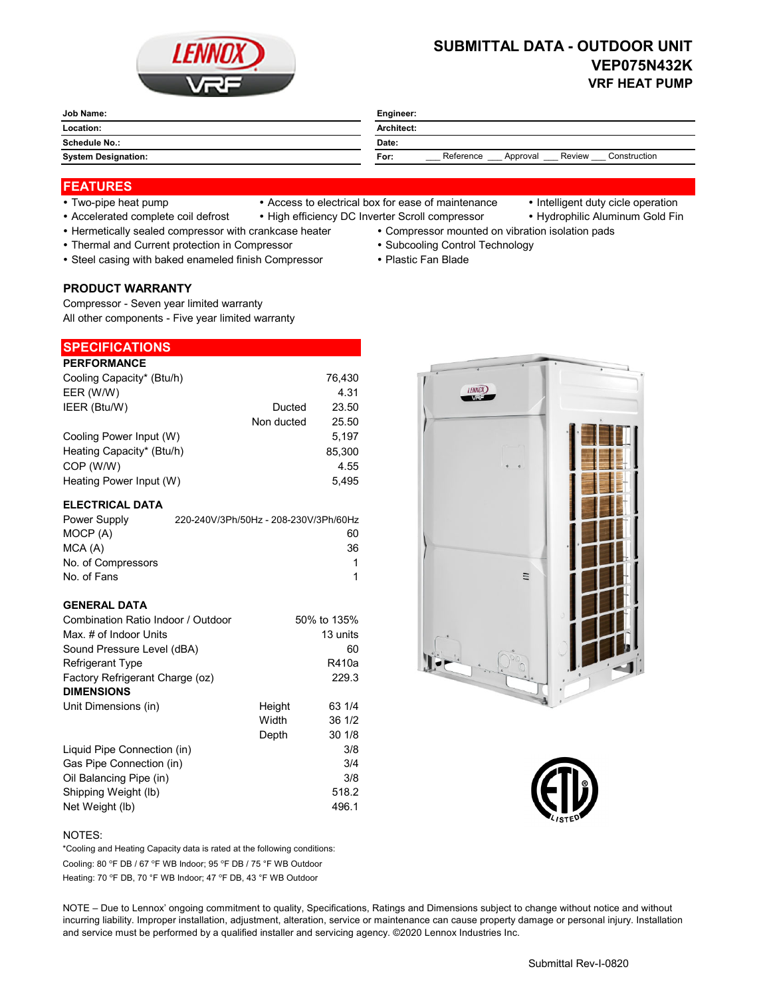

# **SUBMITTAL DATA - OUTDOOR UNIT VEP075N432K VRF HEAT PUMP**

| Job Name:                  | Engineer:                                               |  |  |
|----------------------------|---------------------------------------------------------|--|--|
| Location:                  | Architect:                                              |  |  |
| <b>Schedule No.:</b>       | Date:                                                   |  |  |
| <b>System Designation:</b> | Reference<br>Review<br>Construction<br>For:<br>Approval |  |  |
|                            |                                                         |  |  |

## **FEATURES**

- 
- Two-pipe heat pump Access to electrical box for ease of maintenance Intelligent duty cicle operation
	-
- Accelerated complete coil defrost High efficiency DC Inverter Scroll compressor Hydrophilic Aluminum Gold Fin
- Hermetically sealed compressor with crankcase heater Compressor mounted on vibration isolation pads
- Thermal and Current protection in Compressor **Subcooling Control Technology · Subcooling Control Technology**
- Steel casing with baked enameled finish Compressor Plastic Fan Blade

#### **PRODUCT WARRANTY**

Compressor - Seven year limited warranty All other components - Five year limited warranty

# **SPECIFICATIONS**

| <b>PERFORMANCE</b>        |            |        |
|---------------------------|------------|--------|
| Cooling Capacity* (Btu/h) |            | 76.430 |
| EER (W/W)                 |            | 4.31   |
| IEER (Btu/W)              | Ducted     | 23.50  |
|                           | Non ducted | 25.50  |
| Cooling Power Input (W)   |            | 5.197  |
| Heating Capacity* (Btu/h) |            | 85,300 |
| COP (W/W)                 |            | 4.55   |
| Heating Power Input (W)   |            | 5.495  |

### **ELECTRICAL DATA**

| Power Supply       | 220-240V/3Ph/50Hz - 208-230V/3Ph/60Hz |
|--------------------|---------------------------------------|
| MOCP (A)           | 60                                    |
| MCA(A)             | 36                                    |
| No. of Compressors | 1                                     |
| No. of Fans        |                                       |

### **GENERAL DATA**

| Combination Ratio Indoor / Outdoor |        | 50% to 135% |
|------------------------------------|--------|-------------|
| Max. # of Indoor Units             |        | 13 units    |
| Sound Pressure Level (dBA)         |        | 60          |
| Refrigerant Type                   |        | R410a       |
| Factory Refrigerant Charge (oz)    |        | 229.3       |
| <b>DIMENSIONS</b>                  |        |             |
| Unit Dimensions (in)               | Height | 63 1/4      |
|                                    | Width  | 36 1/2      |
|                                    | Depth  | 30 1/8      |
| Liquid Pipe Connection (in)        |        | 3/8         |
| Gas Pipe Connection (in)           |        | 3/4         |
| Oil Balancing Pipe (in)            |        | 3/8         |
| Shipping Weight (lb)               |        | 518.2       |
| Net Weight (lb)                    |        | 496.1       |





#### NOTES:

Cooling: 80 °F DB / 67 °F WB Indoor; 95 °F DB / 75 °F WB Outdoor Heating: 70 °F DB, 70 °F WB Indoor; 47 °F DB, 43 °F WB Outdoor \*Cooling and Heating Capacity data is rated at the following conditions:

NOTE – Due to Lennox' ongoing commitment to quality, Specifications, Ratings and Dimensions subject to change without notice and without incurring liability. Improper installation, adjustment, alteration, service or maintenance can cause property damage or personal injury. Installation and service must be performed by a qualified installer and servicing agency. ©2020 Lennox Industries Inc.